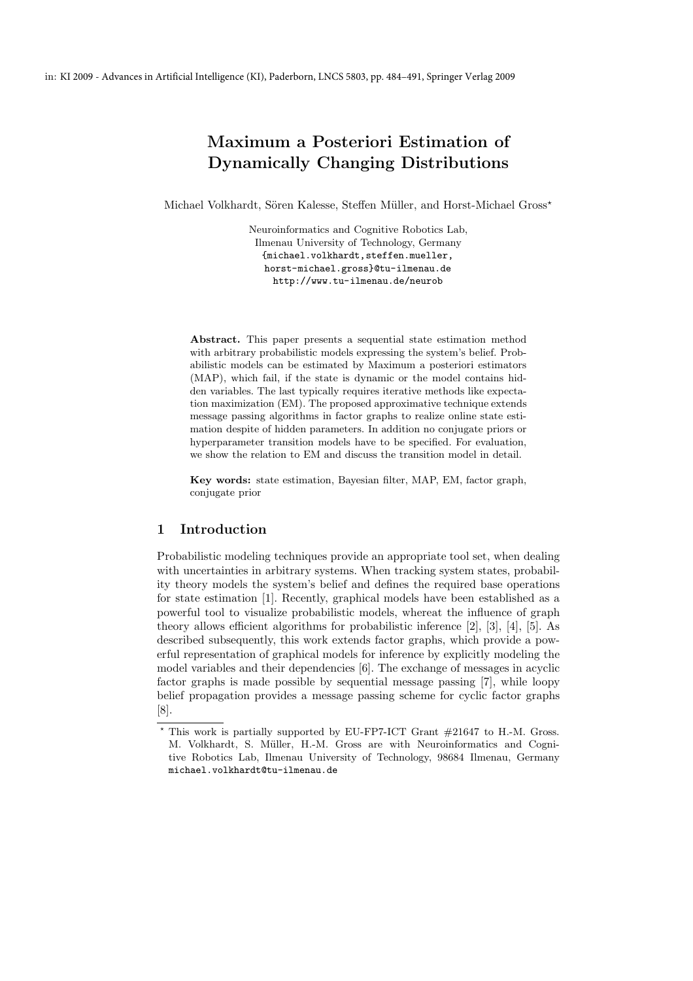# Maximum a Posteriori Estimation of Dynamically Changing Distributions

Michael Volkhardt, Sören Kalesse, Steffen Müller, and Horst-Michael Gross\*

Neuroinformatics and Cognitive Robotics Lab, Ilmenau University of Technology, Germany {michael.volkhardt,steffen.mueller, horst-michael.gross}@tu-ilmenau.de http://www.tu-ilmenau.de/neurob

Abstract. This paper presents a sequential state estimation method with arbitrary probabilistic models expressing the system's belief. Probabilistic models can be estimated by Maximum a posteriori estimators (MAP), which fail, if the state is dynamic or the model contains hidden variables. The last typically requires iterative methods like expectation maximization (EM). The proposed approximative technique extends message passing algorithms in factor graphs to realize online state estimation despite of hidden parameters. In addition no conjugate priors or hyperparameter transition models have to be specified. For evaluation, we show the relation to EM and discuss the transition model in detail.

Key words: state estimation, Bayesian filter, MAP, EM, factor graph, conjugate prior

### 1 Introduction

Probabilistic modeling techniques provide an appropriate tool set, when dealing with uncertainties in arbitrary systems. When tracking system states, probability theory models the system's belief and defines the required base operations for state estimation [1]. Recently, graphical models have been established as a powerful tool to visualize probabilistic models, whereat the influence of graph theory allows efficient algorithms for probabilistic inference [2], [3], [4], [5]. As described subsequently, this work extends factor graphs, which provide a powerful representation of graphical models for inference by explicitly modeling the model variables and their dependencies [6]. The exchange of messages in acyclic factor graphs is made possible by sequential message passing [7], while loopy belief propagation provides a message passing scheme for cyclic factor graphs [8].

 $*$  This work is partially supported by EU-FP7-ICT Grant  $#21647$  to H.-M. Gross. M. Volkhardt, S. Müller, H.-M. Gross are with Neuroinformatics and Cognitive Robotics Lab, Ilmenau University of Technology, 98684 Ilmenau, Germany michael.volkhardt@tu-ilmenau.de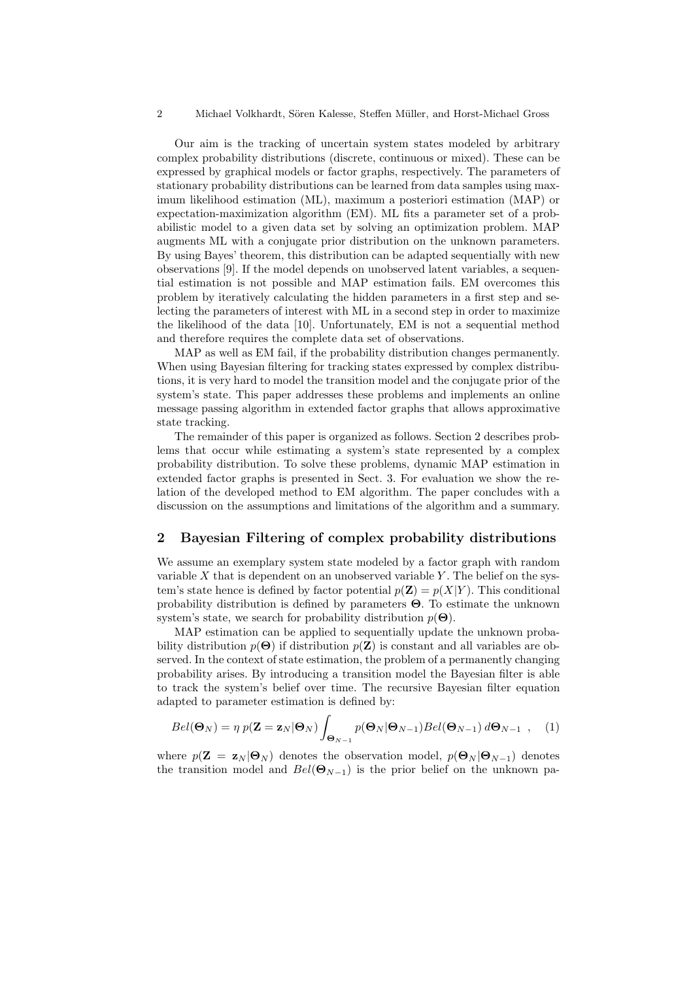Our aim is the tracking of uncertain system states modeled by arbitrary complex probability distributions (discrete, continuous or mixed). These can be expressed by graphical models or factor graphs, respectively. The parameters of stationary probability distributions can be learned from data samples using maximum likelihood estimation (ML), maximum a posteriori estimation (MAP) or expectation-maximization algorithm (EM). ML fits a parameter set of a probabilistic model to a given data set by solving an optimization problem. MAP augments ML with a conjugate prior distribution on the unknown parameters. By using Bayes' theorem, this distribution can be adapted sequentially with new observations [9]. If the model depends on unobserved latent variables, a sequential estimation is not possible and MAP estimation fails. EM overcomes this problem by iteratively calculating the hidden parameters in a first step and selecting the parameters of interest with ML in a second step in order to maximize the likelihood of the data [10]. Unfortunately, EM is not a sequential method and therefore requires the complete data set of observations.

MAP as well as EM fail, if the probability distribution changes permanently. When using Bayesian filtering for tracking states expressed by complex distributions, it is very hard to model the transition model and the conjugate prior of the system's state. This paper addresses these problems and implements an online message passing algorithm in extended factor graphs that allows approximative state tracking.

The remainder of this paper is organized as follows. Section 2 describes problems that occur while estimating a system's state represented by a complex probability distribution. To solve these problems, dynamic MAP estimation in extended factor graphs is presented in Sect. 3. For evaluation we show the relation of the developed method to EM algorithm. The paper concludes with a discussion on the assumptions and limitations of the algorithm and a summary.

# 2 Bayesian Filtering of complex probability distributions

We assume an exemplary system state modeled by a factor graph with random variable  $X$  that is dependent on an unobserved variable  $Y$ . The belief on the system's state hence is defined by factor potential  $p(\mathbf{Z}) = p(X|Y)$ . This conditional probability distribution is defined by parameters  $\Theta$ . To estimate the unknown system's state, we search for probability distribution  $p(\Theta)$ .

MAP estimation can be applied to sequentially update the unknown probability distribution  $p(\Theta)$  if distribution  $p(\mathbf{Z})$  is constant and all variables are observed. In the context of state estimation, the problem of a permanently changing probability arises. By introducing a transition model the Bayesian filter is able to track the system's belief over time. The recursive Bayesian filter equation adapted to parameter estimation is defined by:

$$
Bel(\mathbf{\Theta}_N) = \eta \ p(\mathbf{Z} = \mathbf{z}_N | \mathbf{\Theta}_N) \int_{\mathbf{\Theta}_{N-1}} p(\mathbf{\Theta}_N | \mathbf{\Theta}_{N-1}) Bel(\mathbf{\Theta}_{N-1}) d\mathbf{\Theta}_{N-1} , \quad (1)
$$

where  $p(\mathbf{Z} = \mathbf{z}_N | \mathbf{\Theta}_N)$  denotes the observation model,  $p(\mathbf{\Theta}_N | \mathbf{\Theta}_{N-1})$  denotes the transition model and  $Bel(\mathbf{\Theta}_{N-1})$  is the prior belief on the unknown pa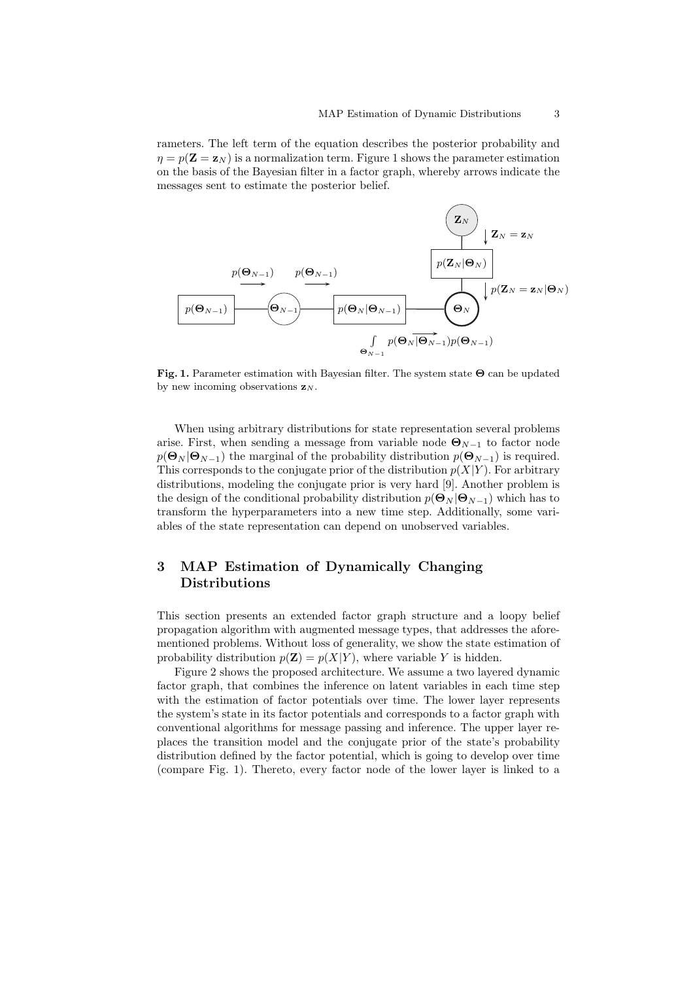rameters. The left term of the equation describes the posterior probability and  $\eta = p(\mathbf{Z} = \mathbf{z}_N)$  is a normalization term. Figure 1 shows the parameter estimation on the basis of the Bayesian filter in a factor graph, whereby arrows indicate the messages sent to estimate the posterior belief.

$$
\begin{array}{c|c}\n p(\mathbf{\Theta}_{N-1}) & p(\mathbf{\Theta}_{N-1}) \\
\hline\n p(\mathbf{\Theta}_{N-1}) & p(\mathbf{\Theta}_{N-1})\n \end{array}\n \longrightarrow\n \begin{array}{c}\n p(\mathbf{Z}_{N}|\mathbf{\Theta}_{N}) \\
p(\mathbf{Z}_{N}|\mathbf{\Theta}_{N})\n \end{array}\n \longrightarrow\n \begin{array}{c}\n p(\mathbf{Z}_{N}|\mathbf{\Theta}_{N}) \\
\hline\n p(\mathbf{Z}_{N}=\mathbf{z}_{N}|\mathbf{\Theta}_{N})\n \end{array}
$$

Fig. 1. Parameter estimation with Bayesian filter. The system state Θ can be updated by new incoming observations  $z_N$ .

When using arbitrary distributions for state representation several problems arise. First, when sending a message from variable node  $\Theta_{N-1}$  to factor node  $p(\Theta_N | \Theta_{N-1})$  the marginal of the probability distribution  $p(\Theta_{N-1})$  is required. This corresponds to the conjugate prior of the distribution  $p(X|Y)$ . For arbitrary distributions, modeling the conjugate prior is very hard [9]. Another problem is the design of the conditional probability distribution  $p(\Theta_N | \Theta_{N-1})$  which has to transform the hyperparameters into a new time step. Additionally, some variables of the state representation can depend on unobserved variables.

# 3 MAP Estimation of Dynamically Changing Distributions

This section presents an extended factor graph structure and a loopy belief propagation algorithm with augmented message types, that addresses the aforementioned problems. Without loss of generality, we show the state estimation of probability distribution  $p(\mathbf{Z}) = p(X|Y)$ , where variable Y is hidden.

Figure 2 shows the proposed architecture. We assume a two layered dynamic factor graph, that combines the inference on latent variables in each time step with the estimation of factor potentials over time. The lower layer represents the system's state in its factor potentials and corresponds to a factor graph with conventional algorithms for message passing and inference. The upper layer replaces the transition model and the conjugate prior of the state's probability distribution defined by the factor potential, which is going to develop over time (compare Fig. 1). Thereto, every factor node of the lower layer is linked to a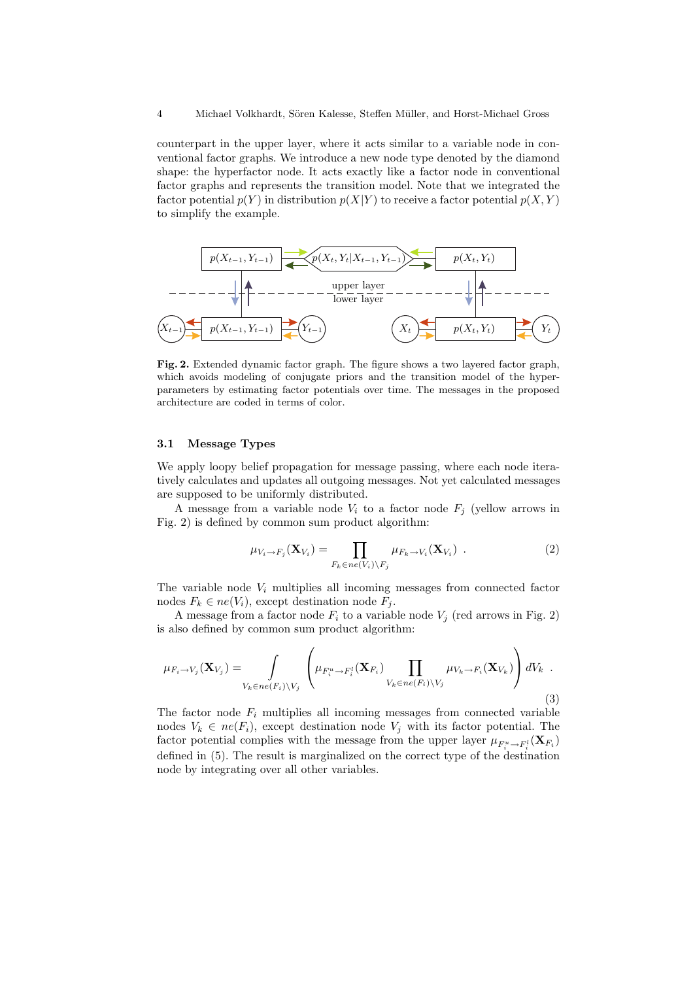4 Michael Volkhardt, Sören Kalesse, Steffen Müller, and Horst-Michael Gross

counterpart in the upper layer, where it acts similar to a variable node in conventional factor graphs. We introduce a new node type denoted by the diamond shape: the hyperfactor node. It acts exactly like a factor node in conventional factor graphs and represents the transition model. Note that we integrated the factor potential  $p(Y)$  in distribution  $p(X|Y)$  to receive a factor potential  $p(X, Y)$ to simplify the example.



Fig. 2. Extended dynamic factor graph. The figure shows a two layered factor graph, which avoids modeling of conjugate priors and the transition model of the hyperparameters by estimating factor potentials over time. The messages in the proposed architecture are coded in terms of color.

#### 3.1 Message Types

We apply loopy belief propagation for message passing, where each node iteratively calculates and updates all outgoing messages. Not yet calculated messages are supposed to be uniformly distributed.

A message from a variable node  $V_i$  to a factor node  $F_j$  (yellow arrows in Fig. 2) is defined by common sum product algorithm:

$$
\mu_{V_i \to F_j}(\mathbf{X}_{V_i}) = \prod_{F_k \in ne(V_i) \setminus F_j} \mu_{F_k \to V_i}(\mathbf{X}_{V_i}) \quad . \tag{2}
$$

The variable node  $V_i$  multiplies all incoming messages from connected factor nodes  $F_k \in ne(V_i)$ , except destination node  $F_j$ .

A message from a factor node  $F_i$  to a variable node  $V_j$  (red arrows in Fig. 2) is also defined by common sum product algorithm:

$$
\mu_{F_i \to V_j}(\mathbf{X}_{V_j}) = \int_{V_k \in ne(F_i) \setminus V_j} \left( \mu_{F_i^u \to F_i^l}(\mathbf{X}_{F_i}) \prod_{V_k \in ne(F_i) \setminus V_j} \mu_{V_k \to F_i}(\mathbf{X}_{V_k}) \right) dV_k
$$
\n(3)

The factor node  $F_i$  multiplies all incoming messages from connected variable nodes  $V_k \in ne(F_i)$ , except destination node  $V_j$  with its factor potential. The factor potential complies with the message from the upper layer  $\mu_{F_i^u \to F_i^l}(\mathbf{X}_{F_i})$ defined in (5). The result is marginalized on the correct type of the destination node by integrating over all other variables.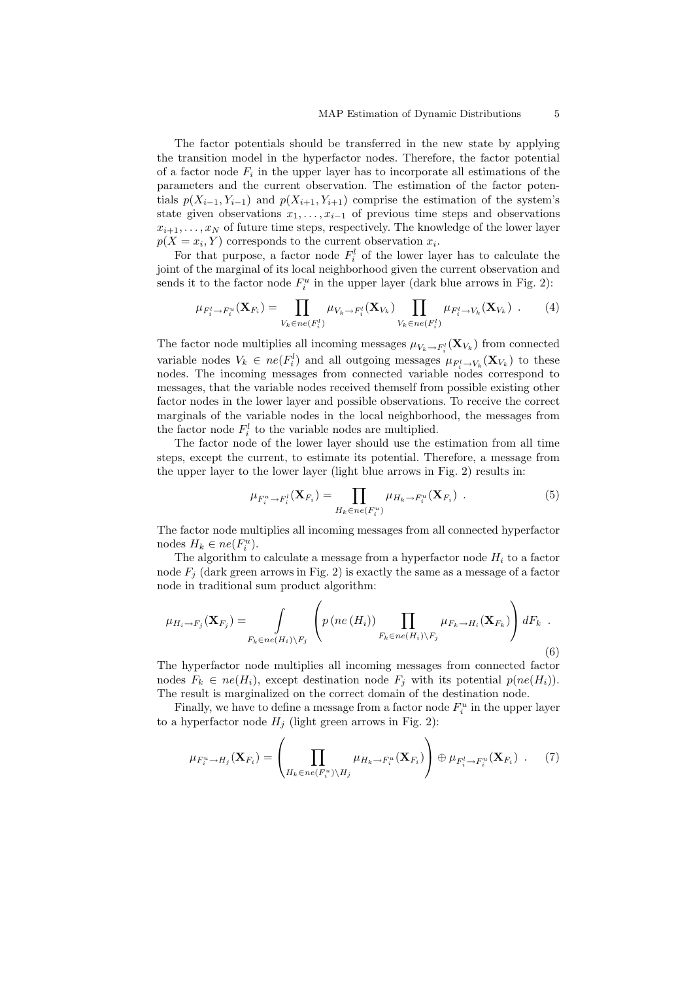The factor potentials should be transferred in the new state by applying the transition model in the hyperfactor nodes. Therefore, the factor potential of a factor node  $F_i$  in the upper layer has to incorporate all estimations of the parameters and the current observation. The estimation of the factor potentials  $p(X_{i-1}, Y_{i-1})$  and  $p(X_{i+1}, Y_{i+1})$  comprise the estimation of the system's state given observations  $x_1, \ldots, x_{i-1}$  of previous time steps and observations  $x_{i+1}, \ldots, x_N$  of future time steps, respectively. The knowledge of the lower layer  $p(X = x_i, Y)$  corresponds to the current observation  $x_i$ .

For that purpose, a factor node  $F_i^l$  of the lower layer has to calculate the joint of the marginal of its local neighborhood given the current observation and sends it to the factor node  $F_i^u$  in the upper layer (dark blue arrows in Fig. 2):

$$
\mu_{F_i^l \to F_i^u}(\mathbf{X}_{F_i}) = \prod_{V_k \in ne(F_i^l)} \mu_{V_k \to F_i^l}(\mathbf{X}_{V_k}) \prod_{V_k \in ne(F_i^l)} \mu_{F_i^l \to V_k}(\mathbf{X}_{V_k}) . \tag{4}
$$

The factor node multiplies all incoming messages  $\mu_{V_k \to F_i^l}(\mathbf{X}_{V_k})$  from connected variable nodes  $V_k \in ne(F_i^l)$  and all outgoing messages  $\mu_{F_i^l \to V_k}(\mathbf{X}_{V_k})$  to these nodes. The incoming messages from connected variable nodes correspond to messages, that the variable nodes received themself from possible existing other factor nodes in the lower layer and possible observations. To receive the correct marginals of the variable nodes in the local neighborhood, the messages from the factor node  $F_i^l$  to the variable nodes are multiplied.

The factor node of the lower layer should use the estimation from all time steps, except the current, to estimate its potential. Therefore, a message from the upper layer to the lower layer (light blue arrows in Fig. 2) results in:

$$
\mu_{F_i^u \to F_i^l}(\mathbf{X}_{F_i}) = \prod_{H_k \in ne(F_i^u)} \mu_{H_k \to F_i^u}(\mathbf{X}_{F_i}) \tag{5}
$$

The factor node multiplies all incoming messages from all connected hyperfactor nodes  $H_k \in ne(F_i^u)$ .

The algorithm to calculate a message from a hyperfactor node  $H_i$  to a factor node  $F_j$  (dark green arrows in Fig. 2) is exactly the same as a message of a factor node in traditional sum product algorithm:

$$
\mu_{H_i \to F_j}(\mathbf{X}_{F_j}) = \int_{F_k \in ne(H_i) \setminus F_j} \left( p\left( ne\left(H_i\right) \right) \prod_{F_k \in ne(H_i) \setminus F_j} \mu_{F_k \to H_i}(\mathbf{X}_{F_k}) \right) dF_k \quad .
$$
\n
$$
(6)
$$

The hyperfactor node multiplies all incoming messages from connected factor nodes  $F_k \in ne(H_i)$ , except destination node  $F_i$  with its potential  $p(ne(H_i))$ . The result is marginalized on the correct domain of the destination node.

Finally, we have to define a message from a factor node  $F_i^u$  in the upper layer to a hyperfactor node  $H_i$  (light green arrows in Fig. 2):

$$
\mu_{F_i^u \to H_j}(\mathbf{X}_{F_i}) = \left(\prod_{H_k \in ne(F_i^u) \setminus H_j} \mu_{H_k \to F_i^u}(\mathbf{X}_{F_i})\right) \oplus \mu_{F_i^l \to F_i^u}(\mathbf{X}_{F_i}) \ . \tag{7}
$$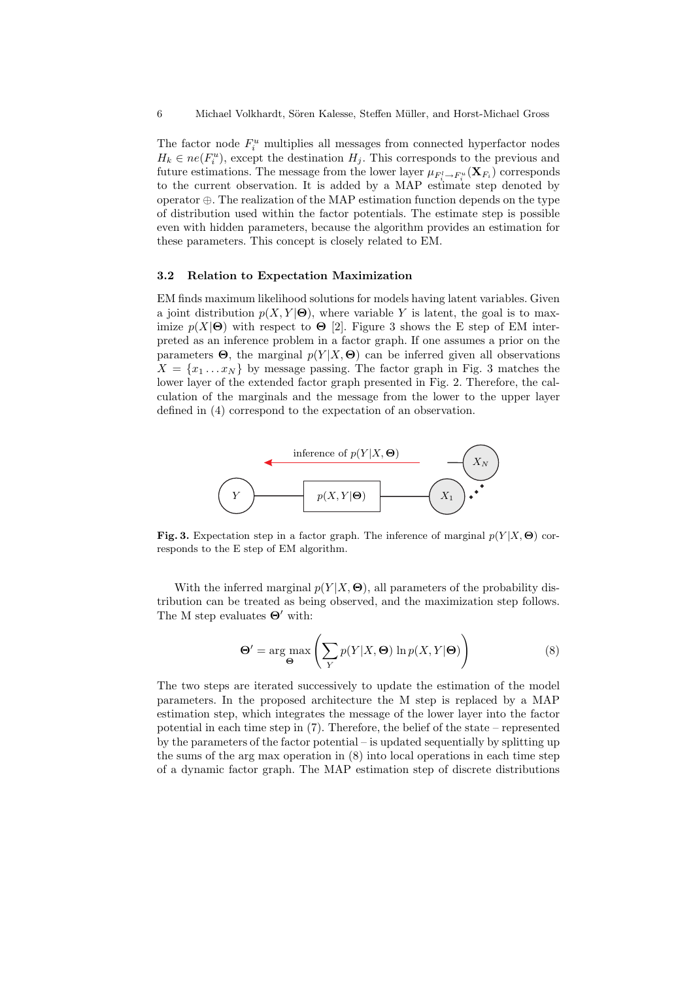The factor node  $F_i^u$  multiplies all messages from connected hyperfactor nodes  $H_k \in ne(F_i^u)$ , except the destination  $H_j$ . This corresponds to the previous and future estimations. The message from the lower layer  $\mu_{F_i^l \to F_i^u}(\mathbf{X}_{F_i})$  corresponds to the current observation. It is added by a MAP estimate step denoted by operator ⊕. The realization of the MAP estimation function depends on the type of distribution used within the factor potentials. The estimate step is possible even with hidden parameters, because the algorithm provides an estimation for these parameters. This concept is closely related to EM.

#### 3.2 Relation to Expectation Maximization

EM finds maximum likelihood solutions for models having latent variables. Given a joint distribution  $p(X, Y | \Theta)$ , where variable Y is latent, the goal is to maximize  $p(X|\Theta)$  with respect to  $\Theta$  [2]. Figure 3 shows the E step of EM interpreted as an inference problem in a factor graph. If one assumes a prior on the parameters  $\Theta$ , the marginal  $p(Y|X,\Theta)$  can be inferred given all observations  $X = \{x_1 \dots x_N\}$  by message passing. The factor graph in Fig. 3 matches the lower layer of the extended factor graph presented in Fig. 2. Therefore, the calculation of the marginals and the message from the lower to the upper layer defined in (4) correspond to the expectation of an observation.



Fig. 3. Expectation step in a factor graph. The inference of marginal  $p(Y|X, \Theta)$  corresponds to the E step of EM algorithm.

With the inferred marginal  $p(Y|X,\Theta)$ , all parameters of the probability distribution can be treated as being observed, and the maximization step follows. The M step evaluates  $\Theta'$  with:

$$
\Theta' = \arg\max_{\Theta} \left( \sum_{Y} p(Y|X, \Theta) \ln p(X, Y|\Theta) \right) \tag{8}
$$

The two steps are iterated successively to update the estimation of the model parameters. In the proposed architecture the M step is replaced by a MAP estimation step, which integrates the message of the lower layer into the factor potential in each time step in (7). Therefore, the belief of the state – represented by the parameters of the factor potential – is updated sequentially by splitting up the sums of the arg max operation in (8) into local operations in each time step of a dynamic factor graph. The MAP estimation step of discrete distributions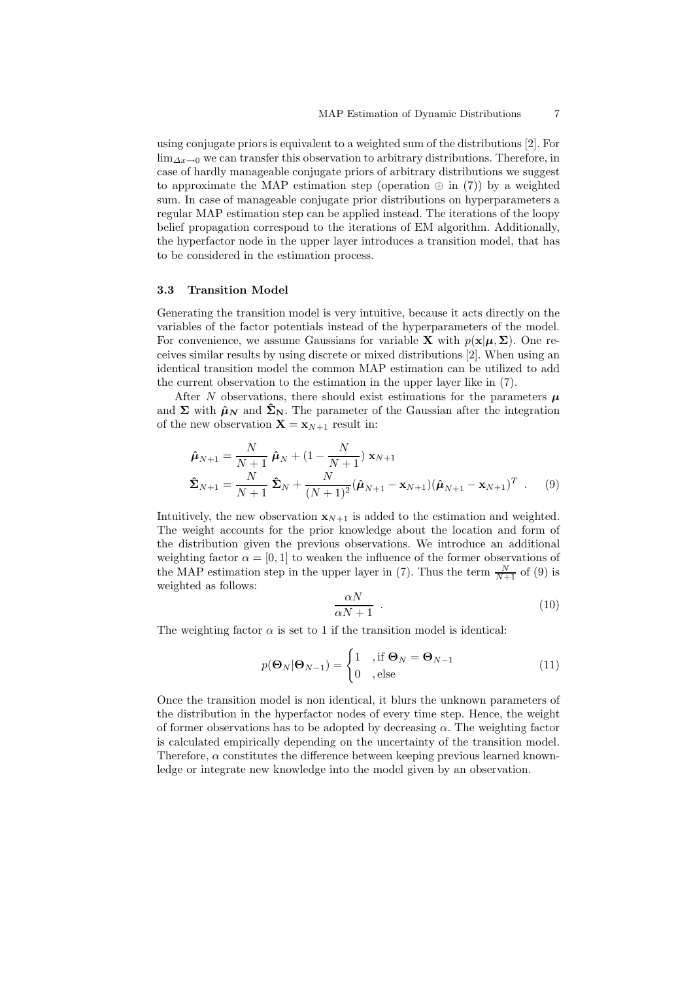using conjugate priors is equivalent to a weighted sum of the distributions [2]. For  $\lim_{\Delta x \to 0}$  we can transfer this observation to arbitrary distributions. Therefore, in case of hardly manageable conjugate priors of arbitrary distributions we suggest to approximate the MAP estimation step (operation  $\oplus$  in (7)) by a weighted sum. In case of manageable conjugate prior distributions on hyperparameters a regular MAP estimation step can be applied instead. The iterations of the loopy belief propagation correspond to the iterations of EM algorithm. Additionally, the hyperfactor node in the upper layer introduces a transition model, that has to be considered in the estimation process.

#### 3.3 Transition Model

Generating the transition model is very intuitive, because it acts directly on the variables of the factor potentials instead of the hyperparameters of the model. For convenience, we assume Gaussians for variable **X** with  $p(x|\mu, \Sigma)$ . One receives similar results by using discrete or mixed distributions [2]. When using an identical transition model the common MAP estimation can be utilized to add the current observation to the estimation in the upper layer like in (7).

After N observations, there should exist estimations for the parameters  $\mu$ and  $\Sigma$  with  $\hat{\mu}_N$  and  $\hat{\Sigma}_N$ . The parameter of the Gaussian after the integration of the new observation  $\mathbf{X} = \mathbf{x}_{N+1}$  result in:

$$
\hat{\boldsymbol{\mu}}_{N+1} = \frac{N}{N+1} \hat{\boldsymbol{\mu}}_N + (1 - \frac{N}{N+1}) \mathbf{x}_{N+1}
$$
\n
$$
\hat{\boldsymbol{\Sigma}}_{N+1} = \frac{N}{N+1} \hat{\boldsymbol{\Sigma}}_N + \frac{N}{(N+1)^2} (\hat{\boldsymbol{\mu}}_{N+1} - \mathbf{x}_{N+1}) (\hat{\boldsymbol{\mu}}_{N+1} - \mathbf{x}_{N+1})^T . \tag{9}
$$

Intuitively, the new observation  $x_{N+1}$  is added to the estimation and weighted. The weight accounts for the prior knowledge about the location and form of the distribution given the previous observations. We introduce an additional weighting factor  $\alpha = [0, 1]$  to weaken the influence of the former observations of the MAP estimation step in the upper layer in (7). Thus the term  $\frac{N}{N+1}$  of (9) is weighted as follows:

$$
\frac{\alpha N}{\alpha N + 1} \tag{10}
$$

The weighting factor  $\alpha$  is set to 1 if the transition model is identical:

$$
p(\mathbf{\Theta}_N|\mathbf{\Theta}_{N-1}) = \begin{cases} 1 & \text{if } \mathbf{\Theta}_N = \mathbf{\Theta}_{N-1} \\ 0 & \text{else} \end{cases} \tag{11}
$$

Once the transition model is non identical, it blurs the unknown parameters of the distribution in the hyperfactor nodes of every time step. Hence, the weight of former observations has to be adopted by decreasing  $\alpha$ . The weighting factor is calculated empirically depending on the uncertainty of the transition model. Therefore,  $\alpha$  constitutes the difference between keeping previous learned knownledge or integrate new knowledge into the model given by an observation.